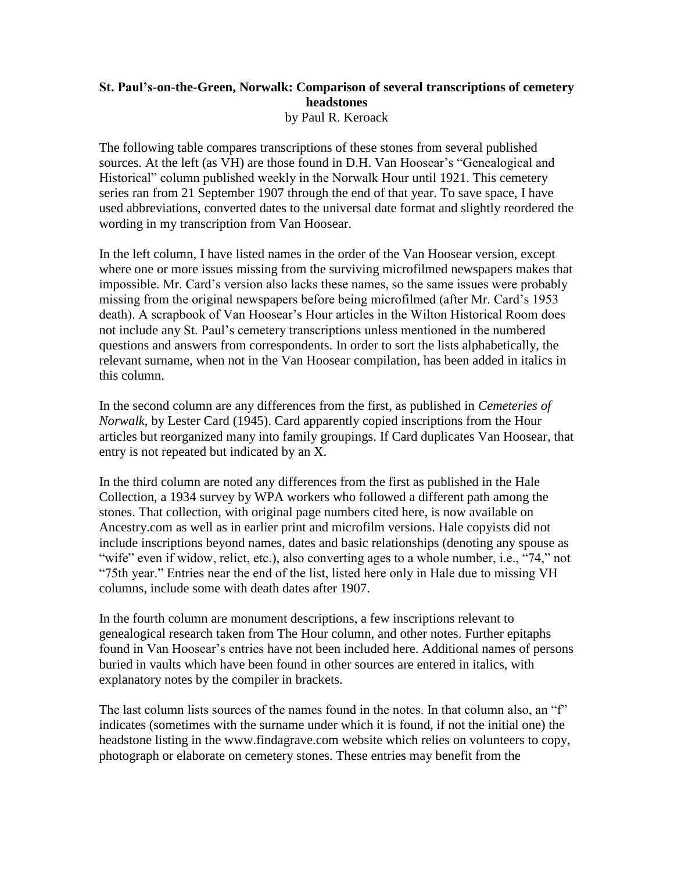## **St. Paul's-on-the-Green, Norwalk: Comparison of several transcriptions of cemetery headstones** by Paul R. Keroack

The following table compares transcriptions of these stones from several published sources. At the left (as VH) are those found in D.H. Van Hoosear's "Genealogical and Historical" column published weekly in the Norwalk Hour until 1921. This cemetery series ran from 21 September 1907 through the end of that year. To save space, I have used abbreviations, converted dates to the universal date format and slightly reordered the wording in my transcription from Van Hoosear.

In the left column, I have listed names in the order of the Van Hoosear version, except where one or more issues missing from the surviving microfilmed newspapers makes that impossible. Mr. Card's version also lacks these names, so the same issues were probably missing from the original newspapers before being microfilmed (after Mr. Card's 1953 death). A scrapbook of Van Hoosear's Hour articles in the Wilton Historical Room does not include any St. Paul's cemetery transcriptions unless mentioned in the numbered questions and answers from correspondents. In order to sort the lists alphabetically, the relevant surname, when not in the Van Hoosear compilation, has been added in italics in this column.

In the second column are any differences from the first, as published in *Cemeteries of Norwalk*, by Lester Card (1945). Card apparently copied inscriptions from the Hour articles but reorganized many into family groupings. If Card duplicates Van Hoosear, that entry is not repeated but indicated by an X.

In the third column are noted any differences from the first as published in the Hale Collection, a 1934 survey by WPA workers who followed a different path among the stones. That collection, with original page numbers cited here, is now available on Ancestry.com as well as in earlier print and microfilm versions. Hale copyists did not include inscriptions beyond names, dates and basic relationships (denoting any spouse as "wife" even if widow, relict, etc.), also converting ages to a whole number, i.e., "74," not "75th year." Entries near the end of the list, listed here only in Hale due to missing VH columns, include some with death dates after 1907.

In the fourth column are monument descriptions, a few inscriptions relevant to genealogical research taken from The Hour column, and other notes. Further epitaphs found in Van Hoosear's entries have not been included here. Additional names of persons buried in vaults which have been found in other sources are entered in italics, with explanatory notes by the compiler in brackets.

The last column lists sources of the names found in the notes. In that column also, an "f" indicates (sometimes with the surname under which it is found, if not the initial one) the headstone listing in the www.findagrave.com website which relies on volunteers to copy, photograph or elaborate on cemetery stones. These entries may benefit from the